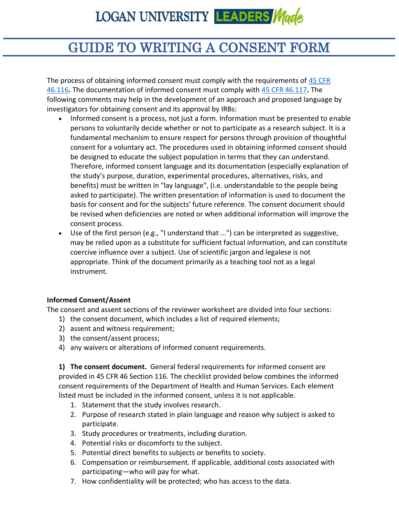### GUIDE TO WRITING A CONSENT FORM

The process of obtaining informed consent must comply with the requirements of [45 CFR](https://www.hhs.gov/ohrp/regulations-and-policy/regulations/45-cfr-46/index.html)  [46.116](https://www.hhs.gov/ohrp/regulations-and-policy/regulations/45-cfr-46/index.html)**.** The documentation of informed consent must comply with [45 CFR 46.117](https://www.hhs.gov/ohrp/regulations-and-policy/regulations/45-cfr-46/index.html)**.** The following comments may help in the development of an approach and proposed language by investigators for obtaining consent and its approval by IRBs:

- Informed consent is a process, not just a form. Information must be presented to enable persons to voluntarily decide whether or not to participate as a research subject. It is a fundamental mechanism to ensure respect for persons through provision of thoughtful consent for a voluntary act. The procedures used in obtaining informed consent should be designed to educate the subject population in terms that they can understand. Therefore, informed consent language and its documentation (especially explanation of the study's purpose, duration, experimental procedures, alternatives, risks, and benefits) must be written in "lay language", (i.e. understandable to the people being asked to participate). The written presentation of information is used to document the basis for consent and for the subjects' future reference. The consent document should be revised when deficiencies are noted or when additional information will improve the consent process.
- Use of the first person (e.g., "I understand that ...") can be interpreted as suggestive, may be relied upon as a substitute for sufficient factual information, and can constitute coercive influence over a subject. Use of scientific jargon and legalese is not appropriate. Think of the document primarily as a teaching tool not as a legal instrument.

#### **Informed Consent/Assent**

The consent and assent sections of the reviewer worksheet are divided into four sections:

- 1) the consent document, which includes a list of required elements;
- 2) assent and witness requirement;
- 3) the consent/assent process;
- 4) any waivers or alterations of informed consent requirements.

**1) The consent document.** General federal requirements for informed consent are provided in 45 CFR 46 Section 116. The checklist provided below combines the informed consent requirements of the Department of Health and Human Services. Each element listed must be included in the informed consent, unless it is not applicable.

- 1. Statement that the study involves research.
- 2. Purpose of research stated in plain language and reason why subject is asked to participate.
- 3. Study procedures or treatments, including duration.
- 4. Potential risks or discomforts to the subject.
- 5. Potential direct benefits to subjects or benefits to society.
- 6. Compensation or reimbursement. If applicable, additional costs associated with participating—who will pay for what.
- 7. How confidentiality will be protected; who has access to the data.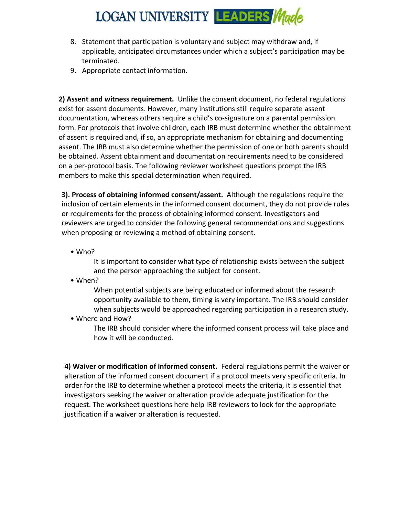- 8. Statement that participation is voluntary and subject may withdraw and, if applicable, anticipated circumstances under which a subject's participation may be terminated.
- 9. Appropriate contact information.

**2) Assent and witness requirement.** Unlike the consent document, no federal regulations exist for assent documents. However, many institutions still require separate assent documentation, whereas others require a child's co-signature on a parental permission form. For protocols that involve children, each IRB must determine whether the obtainment of assent is required and, if so, an appropriate mechanism for obtaining and documenting assent. The IRB must also determine whether the permission of one or both parents should be obtained. Assent obtainment and documentation requirements need to be considered on a per-protocol basis. The following reviewer worksheet questions prompt the IRB members to make this special determination when required.

**3). Process of obtaining informed consent/assent.** Although the regulations require the inclusion of certain elements in the informed consent document, they do not provide rules or requirements for the process of obtaining informed consent. Investigators and reviewers are urged to consider the following general recommendations and suggestions when proposing or reviewing a method of obtaining consent.

• Who?

It is important to consider what type of relationship exists between the subject and the person approaching the subject for consent.

• When?

When potential subjects are being educated or informed about the research opportunity available to them, timing is very important. The IRB should consider when subjects would be approached regarding participation in a research study.

• Where and How?

The IRB should consider where the informed consent process will take place and how it will be conducted.

**4) Waiver or modification of informed consent.** Federal regulations permit the waiver or alteration of the informed consent document if a protocol meets very specific criteria. In order for the IRB to determine whether a protocol meets the criteria, it is essential that investigators seeking the waiver or alteration provide adequate justification for the request. The worksheet questions here help IRB reviewers to look for the appropriate justification if a waiver or alteration is requested.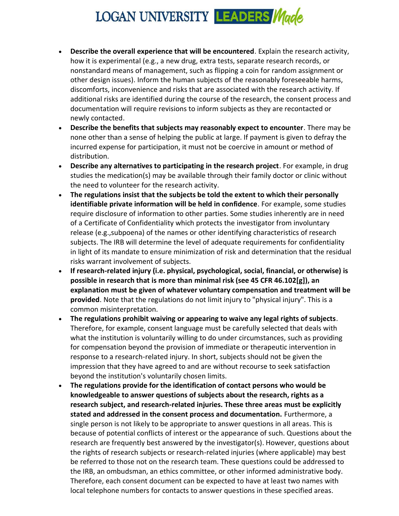- **Describe the overall experience that will be encountered**. Explain the research activity, how it is experimental (e.g., a new drug, extra tests, separate research records, or nonstandard means of management, such as flipping a coin for random assignment or other design issues). Inform the human subjects of the reasonably foreseeable harms, discomforts, inconvenience and risks that are associated with the research activity. If additional risks are identified during the course of the research, the consent process and documentation will require revisions to inform subjects as they are recontacted or newly contacted.
- **Describe the benefits that subjects may reasonably expect to encounter**. There may be none other than a sense of helping the public at large. If payment is given to defray the incurred expense for participation, it must not be coercive in amount or method of distribution.
- **Describe any alternatives to participating in the research project**. For example, in drug studies the medication(s) may be available through their family doctor or clinic without the need to volunteer for the research activity.
- **The regulations insist that the subjects be told the extent to which their personally identifiable private information will be held in confidence**. For example, some studies require disclosure of information to other parties. Some studies inherently are in need of a Certificate of Confidentiality which protects the investigator from involuntary release (e.g.,subpoena) of the names or other identifying characteristics of research subjects. The IRB will determine the level of adequate requirements for confidentiality in light of its mandate to ensure minimization of risk and determination that the residual risks warrant involvement of subjects.
- **If research-related injury (i.e. physical, psychological, social, financial, or otherwise) is possible in research that is more than minimal risk (see 45 CFR 46.102[g]), an explanation must be given of whatever voluntary compensation and treatment will be provided**. Note that the regulations do not limit injury to "physical injury". This is a common misinterpretation.
- **The regulations prohibit waiving or appearing to waive any legal rights of subjects**. Therefore, for example, consent language must be carefully selected that deals with what the institution is voluntarily willing to do under circumstances, such as providing for compensation beyond the provision of immediate or therapeutic intervention in response to a research-related injury. In short, subjects should not be given the impression that they have agreed to and are without recourse to seek satisfaction beyond the institution's voluntarily chosen limits.
- **The regulations provide for the identification of contact persons who would be knowledgeable to answer questions of subjects about the research, rights as a research subject, and research-related injuries. These three areas must be explicitly stated and addressed in the consent process and documentation.** Furthermore, a single person is not likely to be appropriate to answer questions in all areas. This is because of potential conflicts of interest or the appearance of such. Questions about the research are frequently best answered by the investigator(s). However, questions about the rights of research subjects or research-related injuries (where applicable) may best be referred to those not on the research team. These questions could be addressed to the IRB, an ombudsman, an ethics committee, or other informed administrative body. Therefore, each consent document can be expected to have at least two names with local telephone numbers for contacts to answer questions in these specified areas.